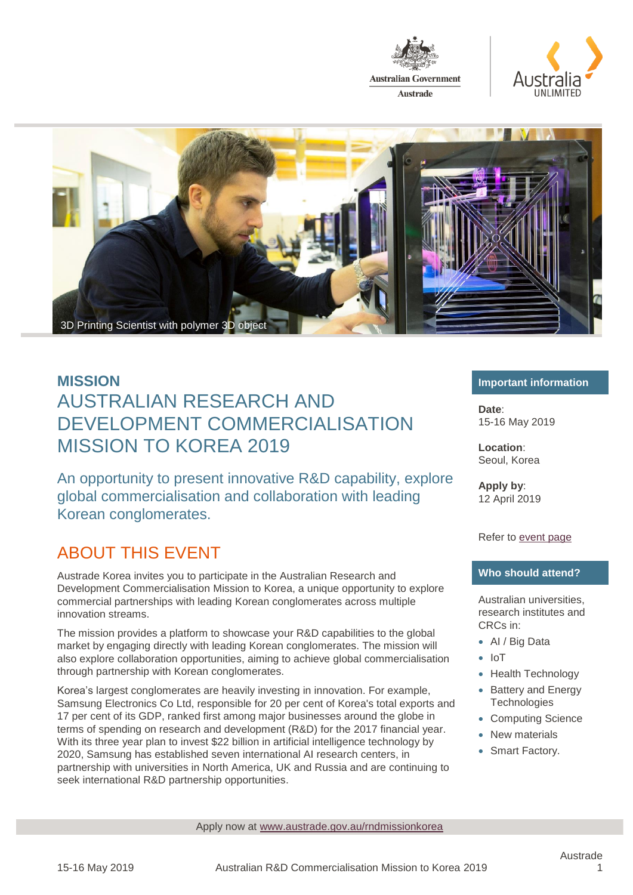





An opportunity to present innovative R&D capability, explore global commercialisation and collaboration with leading Korean conglomerates.

### ABOUT THIS EVENT

Austrade Korea invites you to participate in the Australian Research and Development Commercialisation Mission to Korea, a unique opportunity to explore commercial partnerships with leading Korean conglomerates across multiple innovation streams.

The mission provides a platform to showcase your R&D capabilities to the global market by engaging directly with leading Korean conglomerates. The mission will also explore collaboration opportunities, aiming to achieve global commercialisation through partnership with Korean conglomerates.

Korea's largest conglomerates are heavily investing in innovation. For example, Samsung Electronics Co Ltd, responsible for 20 per cent of Korea's total exports and 17 per cent of its GDP, ranked first among major businesses around the globe in terms of spending on research and development (R&D) for the 2017 financial year. With its three year plan to invest \$22 billion in artificial intelligence technology by 2020, Samsung has established seven international AI research centers, in partnership with universities in North America, UK and Russia and are continuing to seek international R&D partnership opportunities.

#### **Important information**

**Date**: 15-16 May 2019

**Location**: Seoul, Korea

**Apply by**: 12 April 2019

Refer to [event page](http://www.austrade.gov.au/rndmissionkorea)

#### **Who should attend?**

Australian universities, research institutes and CRCs in:

- AI / Big Data
- IoT
- Health Technology
- Battery and Energy **Technologies**
- Computing Science
- New materials
- Smart Factory.

Apply now at [www.austrade.gov.au/rndmissionkorea](http://www.austrade.gov.au/rndmissionkorea)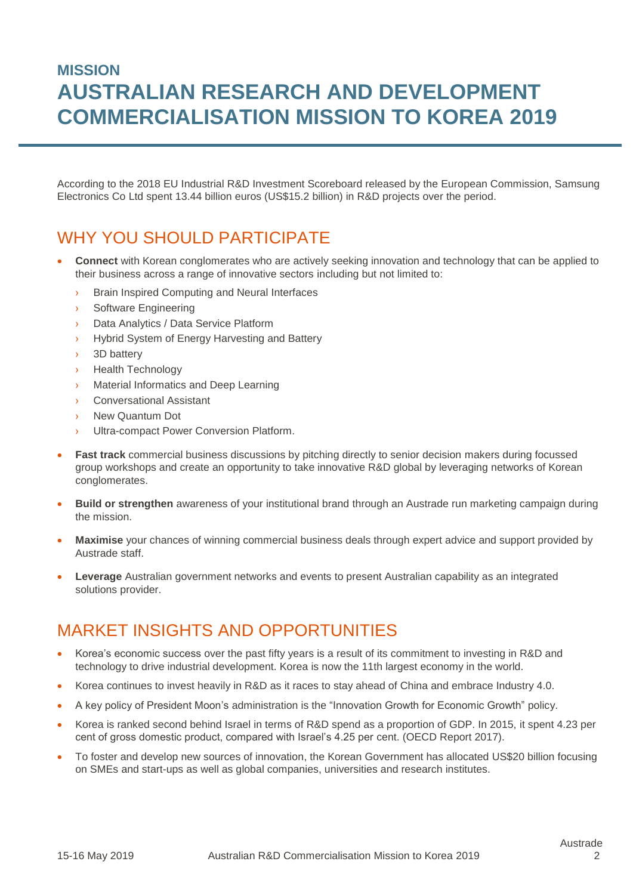According to the 2018 EU Industrial R&D Investment Scoreboard released by the European Commission, Samsung Electronics Co Ltd spent 13.44 billion euros (US\$15.2 billion) in R&D projects over the period.

## WHY YOU SHOULD PARTICIPATE

- **Connect** with Korean conglomerates who are actively seeking innovation and technology that can be applied to their business across a range of innovative sectors including but not limited to:
	- **Brain Inspired Computing and Neural Interfaces**
	- Software Engineering
	- › Data Analytics / Data Service Platform
	- Hybrid System of Energy Harvesting and Battery
	- 3D battery
	- **Health Technology**
	- **Material Informatics and Deep Learning**
	- **Conversational Assistant**
	- New Quantum Dot
	- › Ultra-compact Power Conversion Platform.
- Fast track commercial business discussions by pitching directly to senior decision makers during focussed group workshops and create an opportunity to take innovative R&D global by leveraging networks of Korean conglomerates.
- **Build or strengthen** awareness of your institutional brand through an Austrade run marketing campaign during the mission.
- **Maximise** your chances of winning commercial business deals through expert advice and support provided by Austrade staff.
- **Leverage** Australian government networks and events to present Australian capability as an integrated solutions provider.

#### MARKET INSIGHTS AND OPPORTUNITIES

- Korea's economic success over the past fifty years is a result of its commitment to investing in R&D and technology to drive industrial development. Korea is now the 11th largest economy in the world.
- Korea continues to invest heavily in R&D as it races to stay ahead of China and embrace Industry 4.0.
- A key policy of President Moon's administration is the "Innovation Growth for Economic Growth" policy.
- Korea is ranked second behind Israel in terms of R&D spend as a proportion of GDP. In 2015, it spent 4.23 per cent of gross domestic product, compared with Israel's 4.25 per cent. (OECD Report 2017).
- To foster and develop new sources of innovation, the Korean Government has allocated US\$20 billion focusing on SMEs and start-ups as well as global companies, universities and research institutes.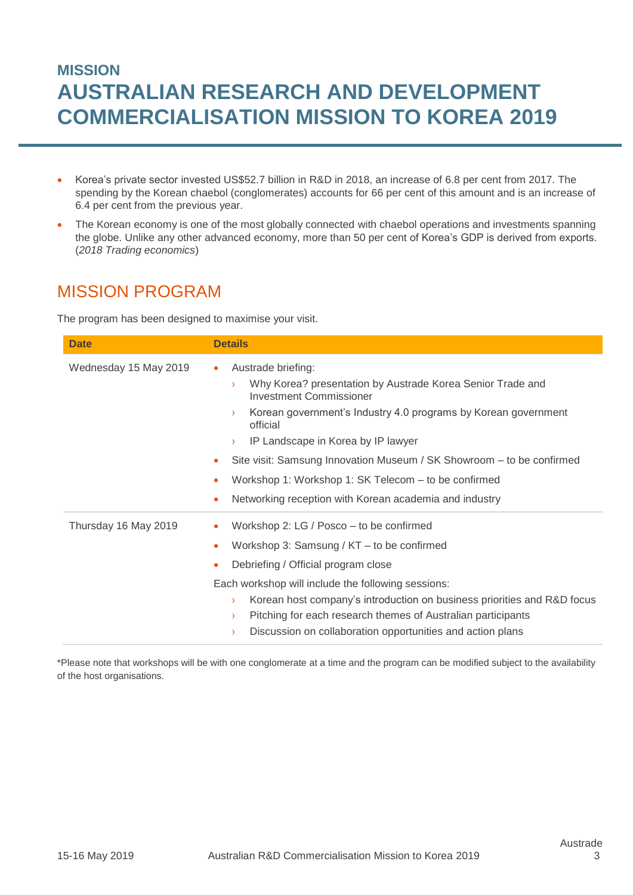- Korea's private sector invested US\$52.7 billion in R&D in 2018, an increase of 6.8 per cent from 2017. The spending by the Korean chaebol (conglomerates) accounts for 66 per cent of this amount and is an increase of 6.4 per cent from the previous year.
- The Korean economy is one of the most globally connected with chaebol operations and investments spanning the globe. Unlike any other advanced economy, more than 50 per cent of Korea's GDP is derived from exports. (*2018 Trading economics*)

## MISSION PROGRAM

The program has been designed to maximise your visit.

| <b>Date</b>           | <b>Details</b>                                                                                                                                                                                                                                                                                                                                                                                                                                                                                                                    |
|-----------------------|-----------------------------------------------------------------------------------------------------------------------------------------------------------------------------------------------------------------------------------------------------------------------------------------------------------------------------------------------------------------------------------------------------------------------------------------------------------------------------------------------------------------------------------|
| Wednesday 15 May 2019 | Austrade briefing:<br>$\bullet$<br>Why Korea? presentation by Austrade Korea Senior Trade and<br>$\sum_{i=1}^{n}$<br><b>Investment Commissioner</b><br>Korean government's Industry 4.0 programs by Korean government<br>$\sum_{i=1}^{n}$<br>official<br>IP Landscape in Korea by IP lawyer<br>$\sum_{i=1}^{n}$<br>Site visit: Samsung Innovation Museum / SK Showroom - to be confirmed<br>۰<br>Workshop 1: Workshop 1: SK Telecom - to be confirmed<br>۰<br>Networking reception with Korean academia and industry<br>$\bullet$ |
| Thursday 16 May 2019  | Workshop 2: LG / Posco – to be confirmed<br>۰<br>Workshop 3: Samsung / KT - to be confirmed<br>۰<br>Debriefing / Official program close<br>٠<br>Each workshop will include the following sessions:<br>Korean host company's introduction on business priorities and R&D focus<br>Σ<br>Pitching for each research themes of Australian participants<br>$\sum_{i=1}^{n}$<br>Discussion on collaboration opportunities and action plans<br>≻                                                                                         |

\*Please note that workshops will be with one conglomerate at a time and the program can be modified subject to the availability of the host organisations.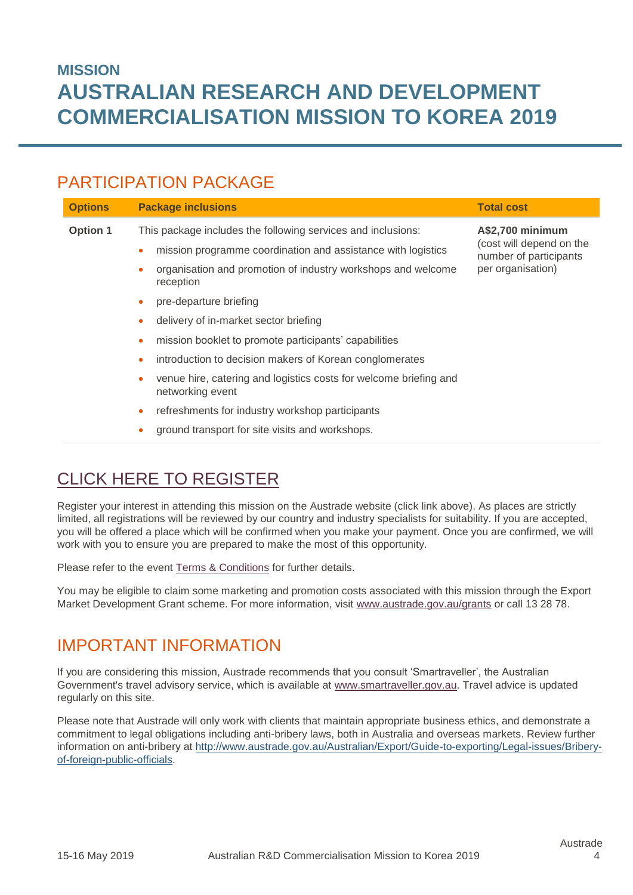## PARTICIPATION PACKAGE

| <b>Options</b>  | <b>Package inclusions</b>                                                             | <b>Total cost</b>                                                                           |
|-----------------|---------------------------------------------------------------------------------------|---------------------------------------------------------------------------------------------|
| <b>Option 1</b> | This package includes the following services and inclusions:                          | A\$2,700 minimum<br>(cost will depend on the<br>number of participants<br>per organisation) |
|                 | mission programme coordination and assistance with logistics                          |                                                                                             |
|                 | organisation and promotion of industry workshops and welcome<br>reception             |                                                                                             |
|                 | pre-departure briefing                                                                |                                                                                             |
|                 | delivery of in-market sector briefing                                                 |                                                                                             |
|                 | mission booklet to promote participants' capabilities<br>۰                            |                                                                                             |
|                 | introduction to decision makers of Korean conglomerates<br>۰                          |                                                                                             |
|                 | venue hire, catering and logistics costs for welcome briefing and<br>networking event |                                                                                             |
|                 | refreshments for industry workshop participants<br>۰                                  |                                                                                             |
|                 | ground transport for site visits and workshops.                                       |                                                                                             |

# [CLICK HERE TO REGISTER](http://www.austrade.gov.au/rndmissionkorea)

Register your interest in attending this mission on the Austrade website (click link above). As places are strictly limited, all registrations will be reviewed by our country and industry specialists for suitability. If you are accepted, you will be offered a place which will be confirmed when you make your payment. Once you are confirmed, we will work with you to ensure you are prepared to make the most of this opportunity.

Please refer to the event [Terms & Conditions](http://www.austrade.gov.au/ArticleDocuments/1422/Austrade-Mission-Agreement.pdf.aspx) for further details.

You may be eligible to claim some marketing and promotion costs associated with this mission through the Export Market Development Grant scheme. For more information, visit [www.austrade.gov.au/](http://www.austrade.gov.au/)grants or call 13 28 78.

### IMPORTANT INFORMATION

If you are considering this mission, Austrade recommends that you consult 'Smartraveller', the Australian Government's travel advisory service, which is available at [www.smartraveller.gov.au.](http://www.smartraveller.gov.au/) Travel advice is updated regularly on this site.

Please note that Austrade will only work with clients that maintain appropriate business ethics, and demonstrate a commitment to legal obligations including anti-bribery laws, both in Australia and overseas markets. Review further information on anti-bribery at [http://www.austrade.gov.au/Australian/Export/Guide-to-exporting/Legal-issues/Bribery](http://www.austrade.gov.au/Australian/Export/Guide-to-exporting/Legal-issues/Bribery-of-foreign-public-officials)[of-foreign-public-officials.](http://www.austrade.gov.au/Australian/Export/Guide-to-exporting/Legal-issues/Bribery-of-foreign-public-officials)